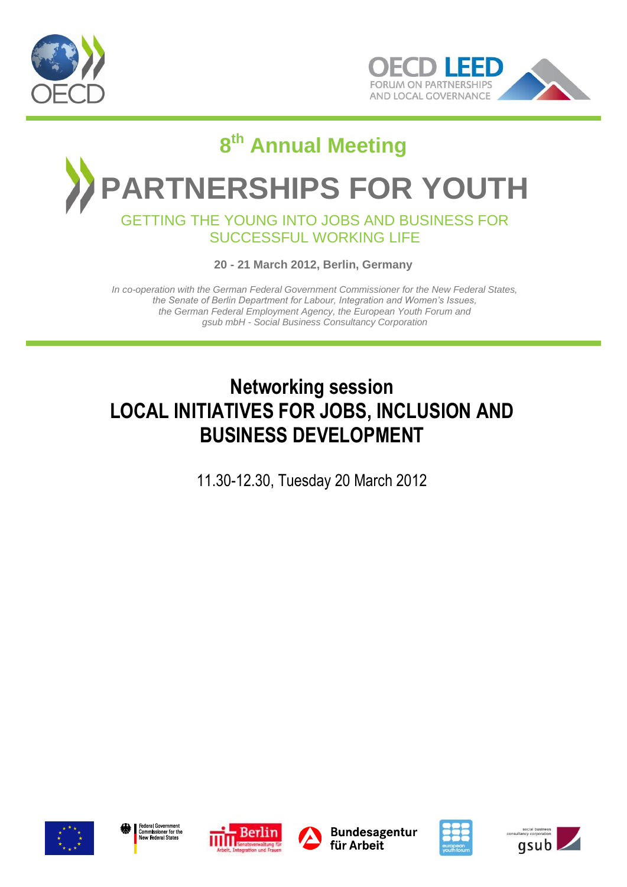



# **8 th Annual Meeting**

**PARTNERSHIPS FOR YOUTH**

#### GETTING THE YOUNG INTO JOBS AND BUSINESS FOR SUCCESSFUL WORKING LIFE

**20 - 21 March 2012, Berlin, Germany**

*In co-operation with the German Federal Government Commissioner for the New Federal States, the Senate of Berlin Department for Labour, Integration and Women's Issues, the German Federal Employment Agency, the European Youth Forum and gsub mbH - Social Business Consultancy Corporation*

# **Networking session LOCAL INITIATIVES FOR JOBS, INCLUSION AND BUSINESS DEVELOPMENT**

11.30-12.30, Tuesday 20 March 2012









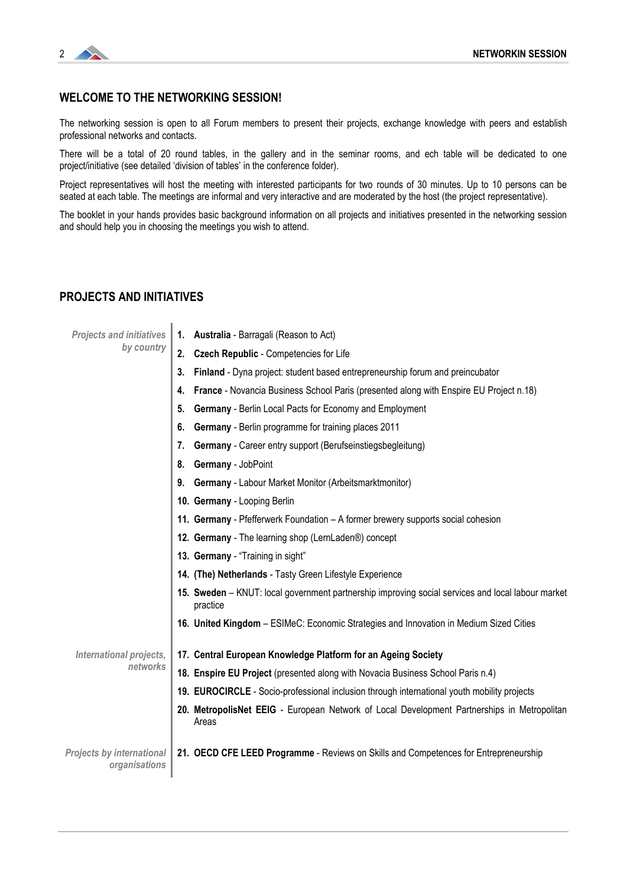

#### **WELCOME TO THE NETWORKING SESSION!**

The networking session is open to all Forum members to present their projects, exchange knowledge with peers and establish professional networks and contacts.

There will be a total of 20 round tables, in the gallery and in the seminar rooms, and ech table will be dedicated to one project/initiative (see detailed 'division of tables' in the conference folder).

Project representatives will host the meeting with interested participants for two rounds of 30 minutes. Up to 10 persons can be seated at each table. The meetings are informal and very interactive and are moderated by the host (the project representative).

The booklet in your hands provides basic background information on all projects and initiatives presented in the networking session and should help you in choosing the meetings you wish to attend.

#### **PROJECTS AND INITIATIVES**

 $\overline{1}$ 

| <b>Projects and initiatives</b><br>by country     | Australia - Barragali (Reason to Act)<br>1.                                                                   |
|---------------------------------------------------|---------------------------------------------------------------------------------------------------------------|
|                                                   | <b>Czech Republic - Competencies for Life</b><br>2.                                                           |
|                                                   | Finland - Dyna project: student based entrepreneurship forum and preincubator<br>3.                           |
|                                                   | France - Novancia Business School Paris (presented along with Enspire EU Project n.18)<br>4.                  |
|                                                   | Germany - Berlin Local Pacts for Economy and Employment<br>5.                                                 |
|                                                   | <b>Germany</b> - Berlin programme for training places 2011<br>6.                                              |
|                                                   | Germany - Career entry support (Berufseinstiegsbegleitung)<br>7.                                              |
|                                                   | Germany - JobPoint<br>8.                                                                                      |
|                                                   | Germany - Labour Market Monitor (Arbeitsmarktmonitor)<br>9.                                                   |
|                                                   | 10. Germany - Looping Berlin                                                                                  |
|                                                   | 11. Germany - Pfefferwerk Foundation - A former brewery supports social cohesion                              |
|                                                   | 12. Germany - The learning shop (LernLaden®) concept                                                          |
|                                                   | 13. Germany - "Training in sight"                                                                             |
|                                                   | 14. (The) Netherlands - Tasty Green Lifestyle Experience                                                      |
|                                                   | 15. Sweden - KNUT: local government partnership improving social services and local labour market<br>practice |
|                                                   | 16. United Kingdom - ESIMeC: Economic Strategies and Innovation in Medium Sized Cities                        |
| International projects,<br>networks               | 17. Central European Knowledge Platform for an Ageing Society                                                 |
|                                                   | 18. Enspire EU Project (presented along with Novacia Business School Paris n.4)                               |
|                                                   | 19. EUROCIRCLE - Socio-professional inclusion through international youth mobility projects                   |
|                                                   | 20. MetropolisNet EEIG - European Network of Local Development Partnerships in Metropolitan<br>Areas          |
| <b>Projects by international</b><br>organisations | 21. OECD CFE LEED Programme - Reviews on Skills and Competences for Entrepreneurship                          |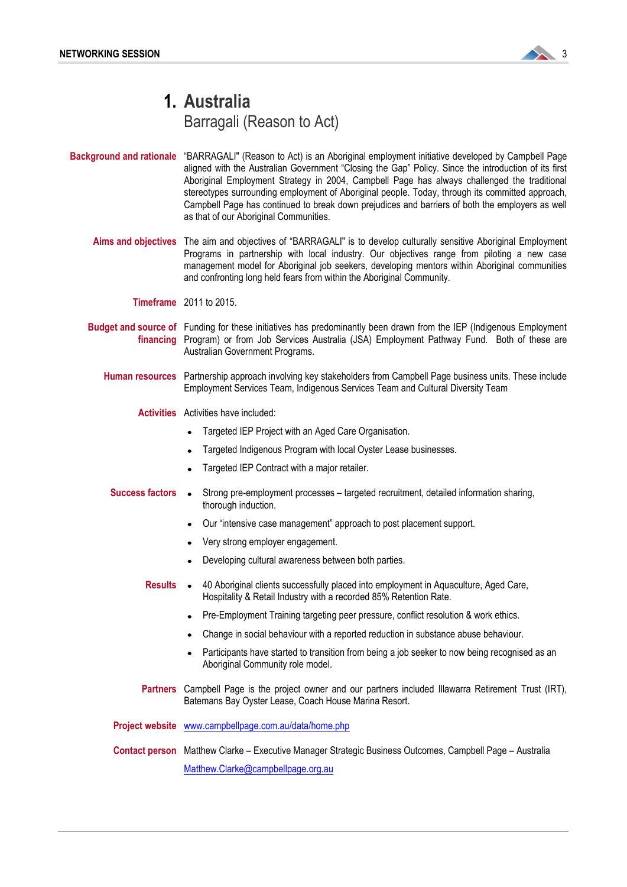

#### **1. Australia**  Barragali (Reason to Act)

- **Background and rationale** "BARRAGALI" (Reason to Act) is an Aboriginal employment initiative developed by Campbell Page aligned with the Australian Government "Closing the Gap" Policy. Since the introduction of its first Aboriginal Employment Strategy in 2004, Campbell Page has always challenged the traditional stereotypes surrounding employment of Aboriginal people. Today, through its committed approach, Campbell Page has continued to break down prejudices and barriers of both the employers as well as that of our Aboriginal Communities.
	- **Aims and objectives** The aim and objectives of "BARRAGALI" is to develop culturally sensitive Aboriginal Employment Programs in partnership with local industry. Our objectives range from piloting a new case management model for Aboriginal job seekers, developing mentors within Aboriginal communities and confronting long held fears from within the Aboriginal Community.

**Timeframe** 2011 to 2015.

**Budget and source of**  Funding for these initiatives has predominantly been drawn from the IEP (Indigenous Employment **financing**  Program) or from Job Services Australia (JSA) Employment Pathway Fund. Both of these are Australian Government Programs.

**Human resources** Partnership approach involving key stakeholders from Campbell Page business units. These include Employment Services Team, Indigenous Services Team and Cultural Diversity Team

**Activities** Activities have included:

- Targeted IEP Project with an Aged Care Organisation.
- Targeted Indigenous Program with local Oyster Lease businesses.
- Targeted IEP Contract with a major retailer.  $\bullet$
- **Success factors** Strong pre-employment processes targeted recruitment, detailed information sharing, thorough induction.
	- Our "intensive case management" approach to post placement support.
	- Very strong employer engagement.
	- Developing cultural awareness between both parties.
	- **Results** 40 Aboriginal clients successfully placed into employment in Aquaculture, Aged Care, Hospitality & Retail Industry with a recorded 85% Retention Rate.
		- Pre-Employment Training targeting peer pressure, conflict resolution & work ethics.
		- Change in social behaviour with a reported reduction in substance abuse behaviour.  $\bullet$
		- Participants have started to transition from being a job seeker to now being recognised as an Aboriginal Community role model.
	- **Partners** Campbell Page is the project owner and our partners included Illawarra Retirement Trust (IRT), Batemans Bay Oyster Lease, Coach House Marina Resort.

**Project website** [www.campbellpage.com.au/data/home.php](http://www.campbellpage.com.au/data/home.php)

**Contact person** Matthew Clarke – Executive Manager Strategic Business Outcomes, Campbell Page – Australia [Matthew.Clarke@campbellpage.org.au](mailto:Matthew.Clarke@campbellpage.org.au)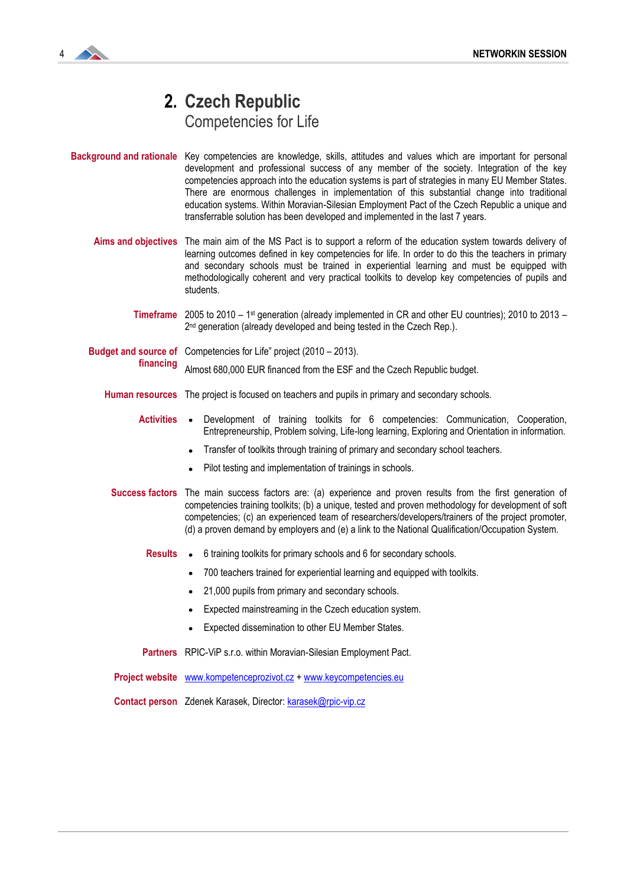

#### **2. Czech Republic**  Competencies for Life

- **Background and rationale** Key competencies are knowledge, skills, attitudes and values which are important for personal development and professional success of any member of the society. Integration of the key competencies approach into the education systems is part of strategies in many EU Member States. There are enormous challenges in implementation of this substantial change into traditional education systems. Within Moravian-Silesian Employment Pact of the Czech Republic a unique and transferrable solution has been developed and implemented in the last 7 years.
	- **Aims and objectives** The main aim of the MS Pact is to support a reform of the education system towards delivery of learning outcomes defined in key competencies for life. In order to do this the teachers in primary and secondary schools must be trained in experiential learning and must be equipped with methodologically coherent and very practical toolkits to develop key competencies of pupils and students.
		- Timeframe 2005 to 2010 1<sup>st</sup> generation (already implemented in CR and other EU countries); 2010 to 2013 2<sup>nd</sup> generation (already developed and being tested in the Czech Rep.).
	- **Budget and source of**  Competencies for Life" project (2010 2013). **financing**  Almost 680,000 EUR financed from the ESF and the Czech Republic budget.
		- **Human resources** The project is focused on teachers and pupils in primary and secondary schools.
			- Activities . Development of training toolkits for 6 competencies: Communication, Cooperation, Entrepreneurship, Problem solving, Life-long learning, Exploring and Orientation in information.
				- Transfer of toolkits through training of primary and secondary school teachers.
				- Pilot testing and implementation of trainings in schools.
			- **Success factors** The main success factors are: (a) experience and proven results from the first generation of competencies training toolkits; (b) a unique, tested and proven methodology for development of soft competencies; (c) an experienced team of researchers/developers/trainers of the project promoter, (d) a proven demand by employers and (e) a link to the National Qualification/Occupation System.
				- **Results •** 6 training toolkits for primary schools and 6 for secondary schools.
					- 700 teachers trained for experiential learning and equipped with toolkits.
					- 21,000 pupils from primary and secondary schools.
					- Expected mainstreaming in the Czech education system.
					- Expected dissemination to other EU Member States.

**Partners** RPIC-ViP s.r.o. within Moravian-Silesian Employment Pact.

**Project website** [www.kompetenceprozivot.cz](http://www.kompetenceprozivot.cz/) + [www.keycompetencies.eu](http://www.keycompetencies.eu/)

**Contact person** Zdenek Karasek, Director: [karasek@rpic-vip.cz](mailto:karasek@rpic-vip.cz)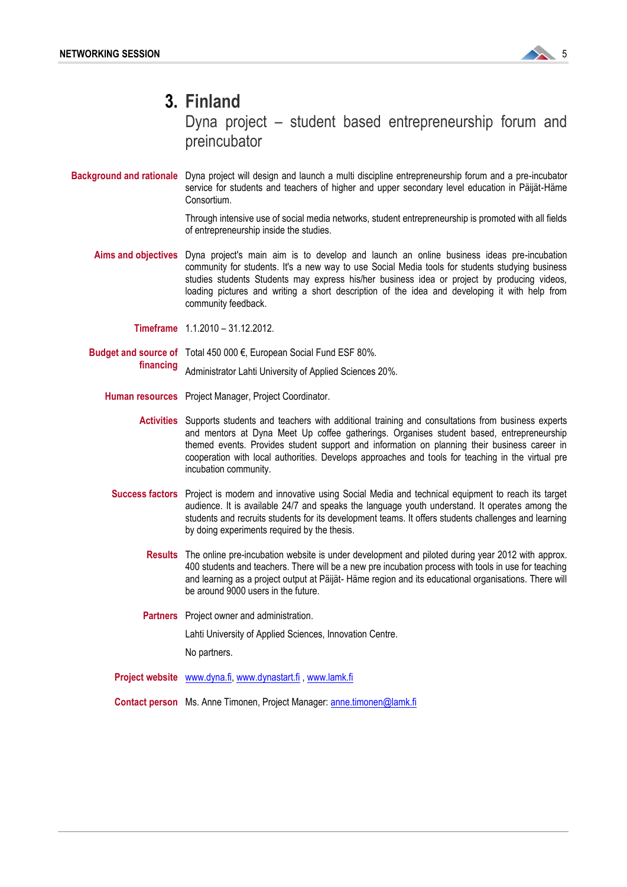

## **3. Finland**

Dyna project – student based entrepreneurship forum and preincubator

**Background and rationale** Dyna project will design and launch a multi discipline entrepreneurship forum and a pre-incubator service for students and teachers of higher and upper secondary level education in Päijät-Häme Consortium.

> Through intensive use of social media networks, student entrepreneurship is promoted with all fields of entrepreneurship inside the studies.

**Aims and objectives** Dyna project's main aim is to develop and launch an online business ideas pre-incubation community for students. It's a new way to use Social Media tools for students studying business studies students Students may express his/her business idea or project by producing videos, loading pictures and writing a short description of the idea and developing it with help from community feedback.

**Timeframe** 1.1.2010 – 31.12.2012.

- **Budget and source of**  Total 450 000 €, European Social Fund ESF 80%.
	- **financing**  Administrator Lahti University of Applied Sciences 20%.
	- **Human resources** Project Manager, Project Coordinator.
		- **Activities** Supports students and teachers with additional training and consultations from business experts and mentors at Dyna Meet Up coffee gatherings. Organises student based, entrepreneurship themed events. Provides student support and information on planning their business career in cooperation with local authorities. Develops approaches and tools for teaching in the virtual pre incubation community.
		- **Success factors** Project is modern and innovative using Social Media and technical equipment to reach its target audience. It is available 24/7 and speaks the language youth understand. It operates among the students and recruits students for its development teams. It offers students challenges and learning by doing experiments required by the thesis.
			- **Results** The online pre-incubation website is under development and piloted during year 2012 with approx. 400 students and teachers. There will be a new pre incubation process with tools in use for teaching and learning as a project output at Päijät- Häme region and its educational organisations. There will be around 9000 users in the future.
			- **Partners** Project owner and administration.

Lahti University of Applied Sciences, Innovation Centre.

No partners.

- Project website **www.dyna.fi**, [www.dynastart.fi](http://www.dynastart.fi/), [www.lamk.fi](http://www.lamk.fi/)
- **Contact person** Ms. Anne Timonen, Project Manager: **anne.timonen@lamk.fi**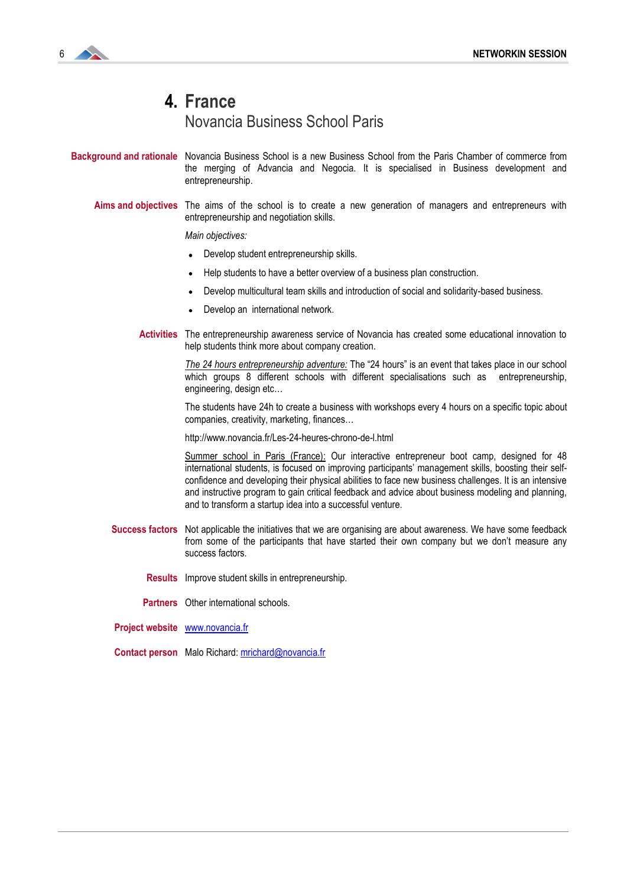

## **4. France**

Novancia Business School Paris

**Background and rationale** Novancia Business School is a new Business School from the Paris Chamber of commerce from the merging of Advancia and Negocia. It is specialised in Business development and entrepreneurship.

**Aims and objectives** The aims of the school is to create a new generation of managers and entrepreneurs with entrepreneurship and negotiation skills.

*Main objectives:*

- Develop student entrepreneurship skills.
- Help students to have a better overview of a business plan construction.
- Develop multicultural team skills and introduction of social and solidarity-based business.
- Develop an international network.
- **Activities** The entrepreneurship awareness service of Novancia has created some educational innovation to help students think more about company creation.

*The 24 hours entrepreneurship adventure:* The "24 hours" is an event that takes place in our school which groups 8 different schools with different specialisations such as entrepreneurship, engineering, design etc…

The students have 24h to create a business with workshops every 4 hours on a specific topic about companies, creativity, marketing, finances…

http://www.novancia.fr/Les-24-heures-chrono-de-l.html

Summer school in Paris (France): Our interactive entrepreneur boot camp, designed for 48 international students, is focused on improving participants' management skills, boosting their selfconfidence and developing their physical abilities to face new business challenges. It is an intensive and instructive program to gain critical feedback and advice about business modeling and planning, and to transform a startup idea into a successful venture.

- **Success factors** Not applicable the initiatives that we are organising are about awareness. We have some feedback from some of the participants that have started their own company but we don"t measure any success factors.
	- **Results** Improve student skills in entrepreneurship.

**Partners** Other international schools.

- **Project website** [www.novancia.fr](http://www.novancia.fr/)
- **Contact person** Malo Richard[: mrichard@novancia.fr](mailto:mrichard@novancia.fr)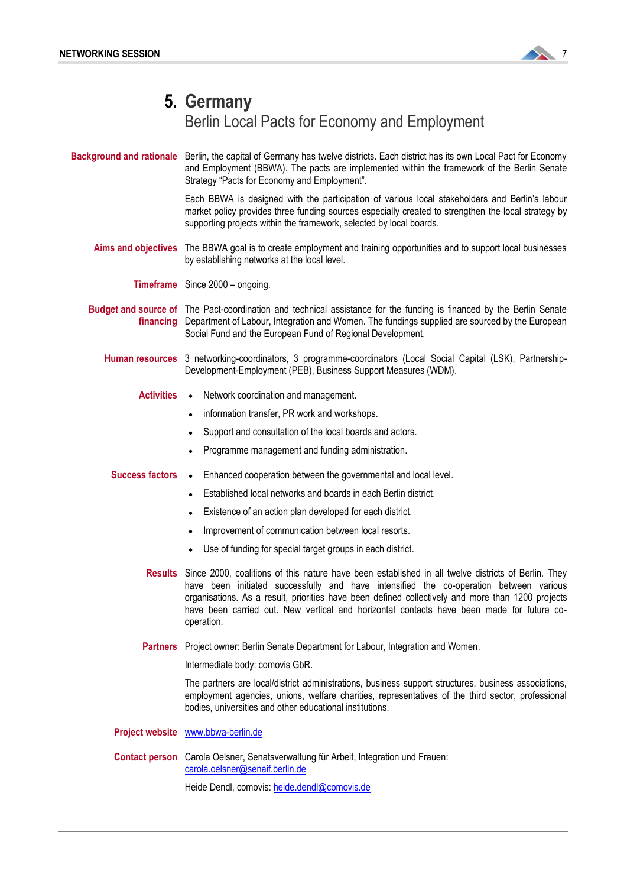

#### Berlin Local Pacts for Economy and Employment

**Background and rationale** Berlin, the capital of Germany has twelve districts. Each district has its own Local Pact for Economy and Employment (BBWA). The pacts are implemented within the framework of the Berlin Senate Strategy "Pacts for Economy and Employment".

> Each BBWA is designed with the participation of various local stakeholders and Berlin"s labour market policy provides three funding sources especially created to strengthen the local strategy by supporting projects within the framework, selected by local boards.

**Aims and objectives** The BBWA goal is to create employment and training opportunities and to support local businesses by establishing networks at the local level.

**Timeframe** Since 2000 – ongoing.

**Budget and source of**  The Pact-coordination and technical assistance for the funding is financed by the Berlin Senate **financing**  Department of Labour, Integration and Women. The fundings supplied are sourced by the European Social Fund and the European Fund of Regional Development.

- **Human resources** 3 networking-coordinators, 3 programme-coordinators (Local Social Capital (LSK), Partnership-Development-Employment (PEB), Business Support Measures (WDM).
	- **Activities** Network coordination and management.
		- information transfer, PR work and workshops.
		- Support and consultation of the local boards and actors.
		- Programme management and funding administration.
	- **Success factors** Enhanced cooperation between the governmental and local level.
		- Established local networks and boards in each Berlin district.
		- Existence of an action plan developed for each district.  $\bullet$
		- Improvement of communication between local resorts.
		- Use of funding for special target groups in each district.
		- **Results** Since 2000, coalitions of this nature have been established in all twelve districts of Berlin. They have been initiated successfully and have intensified the co-operation between various organisations. As a result, priorities have been defined collectively and more than 1200 projects have been carried out. New vertical and horizontal contacts have been made for future cooperation.
		- **Partners** Project owner: Berlin Senate Department for Labour, Integration and Women.

Intermediate body: comovis GbR.

The partners are local/district administrations, business support structures, business associations, employment agencies, unions, welfare charities, representatives of the third sector, professional bodies, universities and other educational institutions.

**Project website** [www.bbwa-berlin.de](http://www.bbwa-berlin.de/)

**Contact person** Carola Oelsner, Senatsverwaltung für Arbeit, Integration und Frauen: [carola.oelsner@senaif.berlin.de](mailto:carola.oelsner@senaif.berlin.de)

Heide Dendl, comovis: [heide.dendl@comovis.de](mailto:heide.dendl@comovis.de)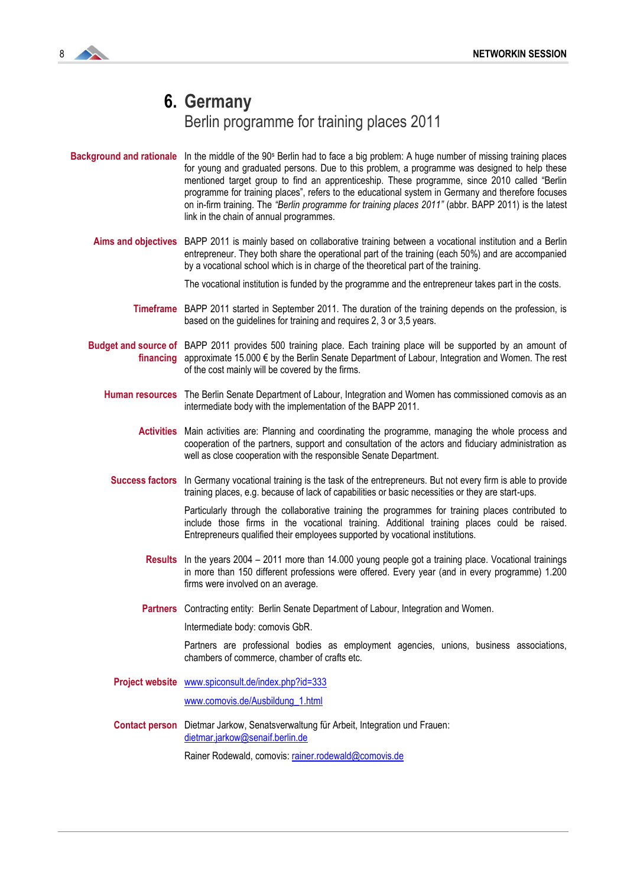

#### Berlin programme for training places 2011

- **Background and rationale** In the middle of the 90<sup>s</sup> Berlin had to face a big problem: A huge number of missing training places for young and graduated persons. Due to this problem, a programme was designed to help these mentioned target group to find an apprenticeship. These programme, since 2010 called "Berlin programme for training places", refers to the educational system in Germany and therefore focuses on in-firm training. The *"Berlin programme for training places 2011"* (abbr. BAPP 2011) is the latest link in the chain of annual programmes.
	- **Aims and objectives** BAPP 2011 is mainly based on collaborative training between a vocational institution and a Berlin entrepreneur. They both share the operational part of the training (each 50%) and are accompanied by a vocational school which is in charge of the theoretical part of the training.

The vocational institution is funded by the programme and the entrepreneur takes part in the costs.

- **Timeframe** BAPP 2011 started in September 2011. The duration of the training depends on the profession, is based on the guidelines for training and requires 2, 3 or 3,5 years.
- **Budget and source of**  BAPP 2011 provides 500 training place. Each training place will be supported by an amount of **financing** approximate 15.000 € by the Berlin Senate Department of Labour, Integration and Women. The rest of the cost mainly will be covered by the firms.
	- **Human resources** The Berlin Senate Department of Labour, Integration and Women has commissioned comovis as an intermediate body with the implementation of the BAPP 2011.
		- **Activities** Main activities are: Planning and coordinating the programme, managing the whole process and cooperation of the partners, support and consultation of the actors and fiduciary administration as well as close cooperation with the responsible Senate Department.
		- **Success factors** In Germany vocational training is the task of the entrepreneurs. But not every firm is able to provide training places, e.g. because of lack of capabilities or basic necessities or they are start-ups.

Particularly through the collaborative training the programmes for training places contributed to include those firms in the vocational training. Additional training places could be raised. Entrepreneurs qualified their employees supported by vocational institutions.

- **Results** In the years 2004 2011 more than 14.000 young people got a training place. Vocational trainings in more than 150 different professions were offered. Every year (and in every programme) 1.200 firms were involved on an average.
- **Partners** Contracting entity: Berlin Senate Department of Labour, Integration and Women.

Intermediate body: comovis GbR.

Partners are professional bodies as employment agencies, unions, business associations, chambers of commerce, chamber of crafts etc.

- **Project website** [www.spiconsult.de/index.php?id=333](http://www.spiconsult.de/index.php?id=333) [www.comovis.de/Ausbildung\\_1.html](http://www.comovis.de/Ausbildung_1.html)
- **Contact person** Dietmar Jarkow, Senatsverwaltung für Arbeit, Integration und Frauen: [dietmar.jarkow@senaif.berlin.de](mailto:dietmar.jarkow@senaif.berlin.de)

Rainer Rodewald, comovis: [rainer.rodewald@comovis.de](mailto:rainer.rodewald@comovis.de)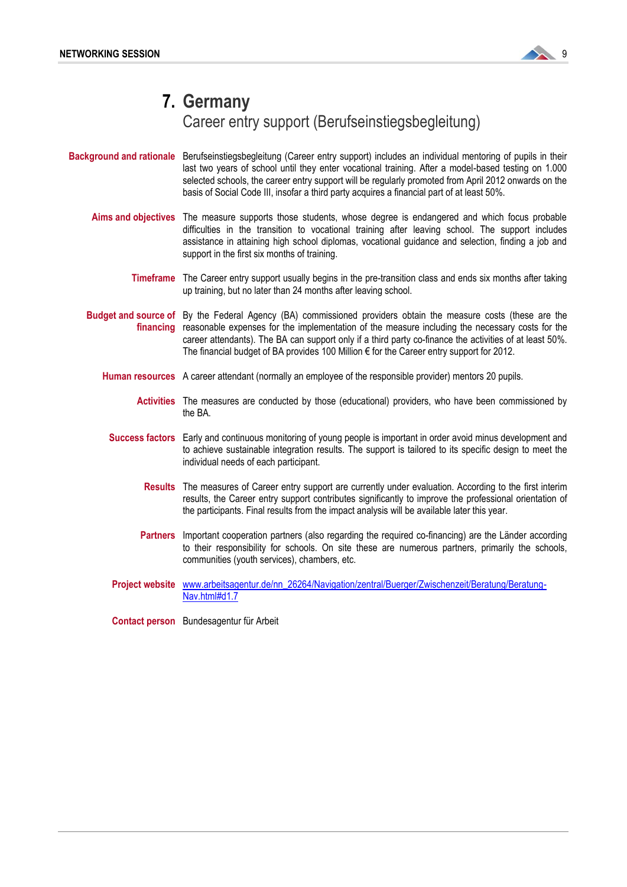

Career entry support (Berufseinstiegsbegleitung)

- **Background and rationale** Berufseinstiegsbegleitung (Career entry support) includes an individual mentoring of pupils in their last two years of school until they enter vocational training. After a model-based testing on 1.000 selected schools, the career entry support will be regularly promoted from April 2012 onwards on the basis of Social Code III, insofar a third party acquires a financial part of at least 50%.
	- **Aims and objectives** The measure supports those students, whose degree is endangered and which focus probable difficulties in the transition to vocational training after leaving school. The support includes assistance in attaining high school diplomas, vocational guidance and selection, finding a job and support in the first six months of training.
		- **Timeframe** The Career entry support usually begins in the pre-transition class and ends six months after taking up training, but no later than 24 months after leaving school.
	- **Budget and source of**  By the Federal Agency (BA) commissioned providers obtain the measure costs (these are the **financing**  reasonable expenses for the implementation of the measure including the necessary costs for the career attendants). The BA can support only if a third party co-finance the activities of at least 50%. The financial budget of BA provides 100 Million € for the Career entry support for 2012.
		- **Human resources** A career attendant (normally an employee of the responsible provider) mentors 20 pupils.
			- **Activities** The measures are conducted by those (educational) providers, who have been commissioned by the BA.
			- **Success factors** Early and continuous monitoring of young people is important in order avoid minus development and to achieve sustainable integration results. The support is tailored to its specific design to meet the individual needs of each participant.
				- **Results** The measures of Career entry support are currently under evaluation. According to the first interim results, the Career entry support contributes significantly to improve the professional orientation of the participants. Final results from the impact analysis will be available later this year.
				- **Partners**  Important cooperation partners (also regarding the required co-financing) are the Länder according to their responsibility for schools. On site these are numerous partners, primarily the schools, communities (youth services), chambers, etc.
			- **Project website** [www.arbeitsagentur.de/nn\\_26264/Navigation/zentral/Buerger/Zwischenzeit/Beratung/Beratung-](http://www.arbeitsagentur.de/nn_26264/Navigation/zentral/Buerger/Zwischenzeit/Beratung/Beratung-Nav.html#d1.7)[Nav.html#d1.7](http://www.arbeitsagentur.de/nn_26264/Navigation/zentral/Buerger/Zwischenzeit/Beratung/Beratung-Nav.html#d1.7)

**Contact person** Bundesagentur für Arbeit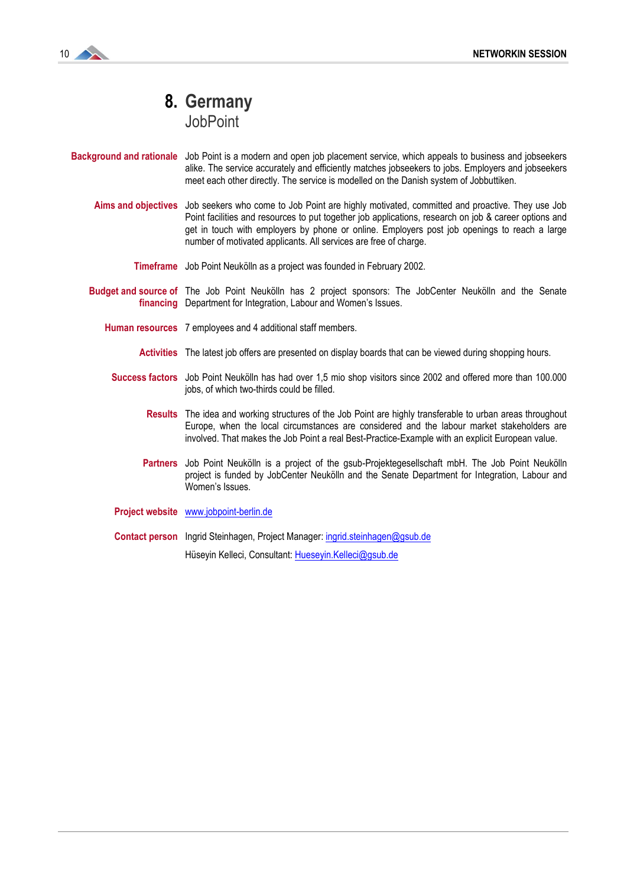

JobPoint

- **Background and rationale** Job Point is a modern and open job placement service, which appeals to business and jobseekers alike. The service accurately and efficiently matches jobseekers to jobs. Employers and jobseekers meet each other directly. The service is modelled on the Danish system of Jobbuttiken.
	- **Aims and objectives** Job seekers who come to Job Point are highly motivated, committed and proactive. They use Job Point facilities and resources to put together job applications, research on job & career options and get in touch with employers by phone or online. Employers post job openings to reach a large number of motivated applicants. All services are free of charge.
		- **Timeframe** Job Point Neukölln as a project was founded in February 2002.
	- **Budget and source of**  The Job Point Neukölln has 2 project sponsors: The JobCenter Neukölln and the Senate **financing**  Department for Integration, Labour and Women"s Issues.
		- **Human resources** 7 employees and 4 additional staff members.
			- **Activities** The latest job offers are presented on display boards that can be viewed during shopping hours.
			- **Success factors** Job Point Neukölln has had over 1,5 mio shop visitors since 2002 and offered more than 100.000 jobs, of which two-thirds could be filled.
				- **Results** The idea and working structures of the Job Point are highly transferable to urban areas throughout Europe, when the local circumstances are considered and the labour market stakeholders are involved. That makes the Job Point a real Best-Practice-Example with an explicit European value.
				- **Partners** Job Point Neukölln is a project of the gsub-Projektegesellschaft mbH. The Job Point Neukölln project is funded by JobCenter Neukölln and the Senate Department for Integration, Labour and Women"s Issues.
			- **Project website** [www.jobpoint-berlin.de](http://www.jobpoint-berlin.de/)

**Contact person** Ingrid Steinhagen, Project Manager[: ingrid.steinhagen@gsub.de](mailto:ingrid.steinhagen@gsub.de)  Hüseyin Kelleci, Consultant: [Hueseyin.Kelleci@gsub.de](mailto:Hueseyin.Kelleci@gsub.de)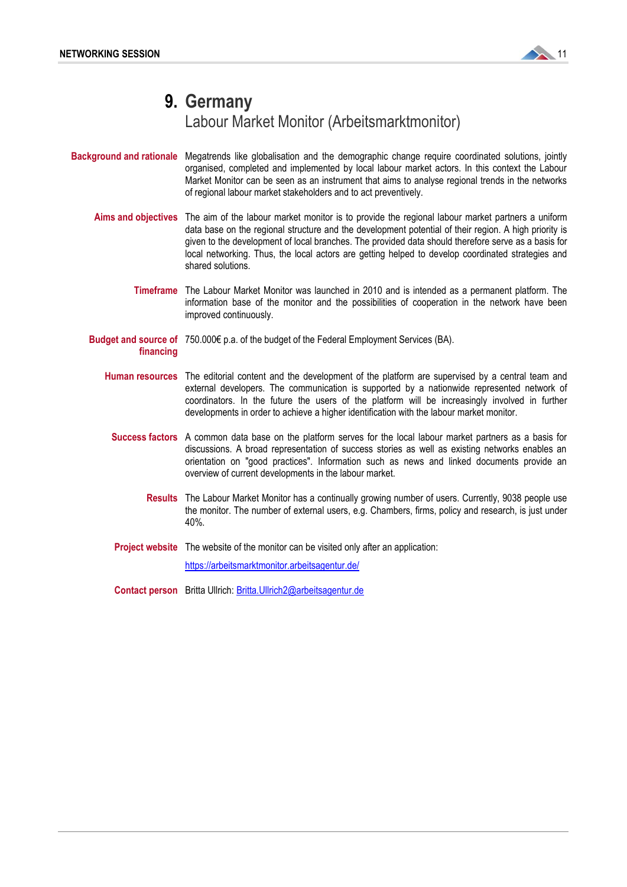

#### **9. Germany** Labour Market Monitor (Arbeitsmarktmonitor)

- **Background and rationale** Megatrends like globalisation and the demographic change require coordinated solutions, jointly organised, completed and implemented by local labour market actors. In this context the Labour Market Monitor can be seen as an instrument that aims to analyse regional trends in the networks of regional labour market stakeholders and to act preventively.
	- **Aims and objectives** The aim of the labour market monitor is to provide the regional labour market partners a uniform data base on the regional structure and the development potential of their region. A high priority is given to the development of local branches. The provided data should therefore serve as a basis for local networking. Thus, the local actors are getting helped to develop coordinated strategies and shared solutions.
		- **Timeframe** The Labour Market Monitor was launched in 2010 and is intended as a permanent platform. The information base of the monitor and the possibilities of cooperation in the network have been improved continuously.
	- **Budget and source of**  750.000€ p.a. of the budget of the Federal Employment Services (BA). **financing** 
		- **Human resources** The editorial content and the development of the platform are supervised by a central team and external developers. The communication is supported by a nationwide represented network of coordinators. In the future the users of the platform will be increasingly involved in further developments in order to achieve a higher identification with the labour market monitor.
			- **Success factors** A common data base on the platform serves for the local labour market partners as a basis for discussions. A broad representation of success stories as well as existing networks enables an orientation on "good practices". Information such as news and linked documents provide an overview of current developments in the labour market.
				- **Results** The Labour Market Monitor has a continually growing number of users. Currently, 9038 people use the monitor. The number of external users, e.g. Chambers, firms, policy and research, is just under 40%.
			- **Project website** The website of the monitor can be visited only after an application:

<https://arbeitsmarktmonitor.arbeitsagentur.de/>

**Contact person** Britta Ullrich: [Britta.Ullrich2@arbeitsagentur.de](mailto:Britta.Ullrich2@arbeitsagentur.de)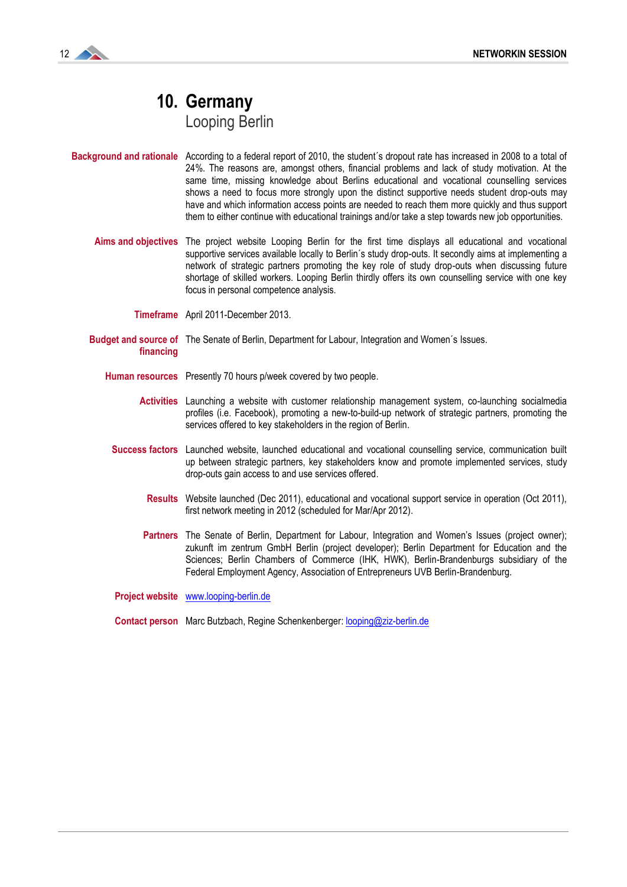

# **10. Germany** Looping Berlin

- **Background and rationale** According to a federal report of 2010, the student´s dropout rate has increased in 2008 to a total of 24%. The reasons are, amongst others, financial problems and lack of study motivation. At the same time, missing knowledge about Berlins educational and vocational counselling services shows a need to focus more strongly upon the distinct supportive needs student drop-outs may have and which information access points are needed to reach them more quickly and thus support them to either continue with educational trainings and/or take a step towards new job opportunities.
	- **Aims and objectives** The project website Looping Berlin for the first time displays all educational and vocational supportive services available locally to Berlin's study drop-outs. It secondly aims at implementing a network of strategic partners promoting the key role of study drop-outs when discussing future shortage of skilled workers. Looping Berlin thirdly offers its own counselling service with one key focus in personal competence analysis.

**Timeframe** April 2011-December 2013.

- **Budget and source of**  The Senate of Berlin, Department for Labour, Integration and Women´s Issues. **financing** 
	- **Human resources** Presently 70 hours p/week covered by two people.
		- **Activities** Launching a website with customer relationship management system, co-launching socialmedia profiles (i.e. Facebook), promoting a new-to-build-up network of strategic partners, promoting the services offered to key stakeholders in the region of Berlin.
		- **Success factors** Launched website, launched educational and vocational counselling service, communication built up between strategic partners, key stakeholders know and promote implemented services, study drop-outs gain access to and use services offered.
			- **Results** Website launched (Dec 2011), educational and vocational support service in operation (Oct 2011), first network meeting in 2012 (scheduled for Mar/Apr 2012).
			- Partners The Senate of Berlin, Department for Labour, Integration and Women's Issues (project owner); zukunft im zentrum GmbH Berlin (project developer); Berlin Department for Education and the Sciences; Berlin Chambers of Commerce (IHK, HWK), Berlin-Brandenburgs subsidiary of the Federal Employment Agency, Association of Entrepreneurs UVB Berlin-Brandenburg.

**Project website** [www.looping-berlin.de](http://www.looping-berlin.de/)

**Contact person** Marc Butzbach, Regine Schenkenberger[: looping@ziz-berlin.de](mailto:looping@ziz-berlin.de)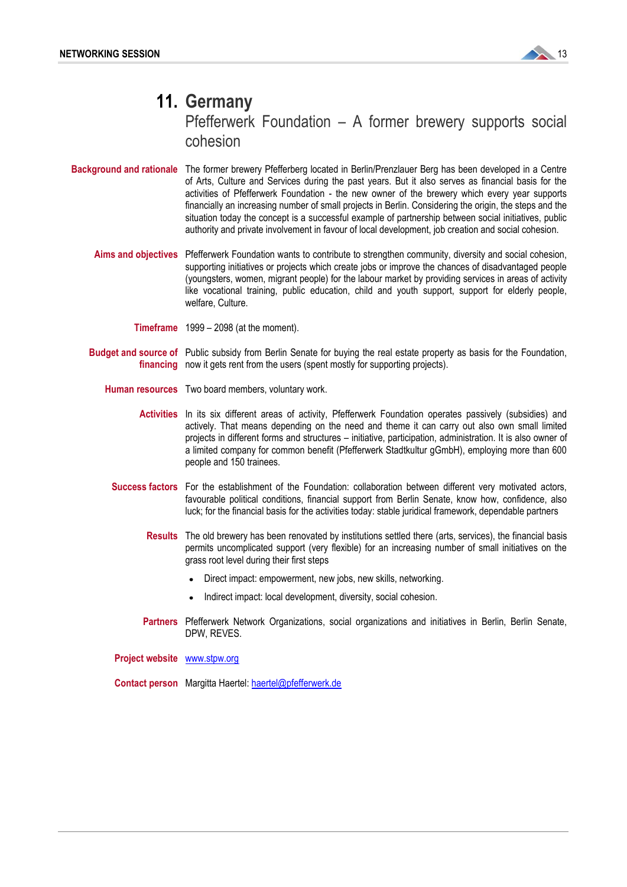

Pfefferwerk Foundation – A former brewery supports social cohesion

- **Background and rationale** The former brewery Pfefferberg located in Berlin/Prenzlauer Berg has been developed in a Centre of Arts, Culture and Services during the past years. But it also serves as financial basis for the activities of Pfefferwerk Foundation - the new owner of the brewery which every year supports financially an increasing number of small projects in Berlin. Considering the origin, the steps and the situation today the concept is a successful example of partnership between social initiatives, public authority and private involvement in favour of local development, job creation and social cohesion.
	- **Aims and objectives** Pfefferwerk Foundation wants to contribute to strengthen community, diversity and social cohesion, supporting initiatives or projects which create jobs or improve the chances of disadvantaged people (youngsters, women, migrant people) for the labour market by providing services in areas of activity like vocational training, public education, child and youth support, support for elderly people, welfare, Culture.

**Timeframe** 1999 – 2098 (at the moment).

- **Budget and source of**  Public subsidy from Berlin Senate for buying the real estate property as basis for the Foundation, **financing**  now it gets rent from the users (spent mostly for supporting projects).
	- **Human resources** Two board members, voluntary work.
		- **Activities** In its six different areas of activity, Pfefferwerk Foundation operates passively (subsidies) and actively. That means depending on the need and theme it can carry out also own small limited projects in different forms and structures – initiative, participation, administration. It is also owner of a limited company for common benefit (Pfefferwerk Stadtkultur gGmbH), employing more than 600 people and 150 trainees.
		- **Success factors** For the establishment of the Foundation: collaboration between different very motivated actors, favourable political conditions, financial support from Berlin Senate, know how, confidence, also luck; for the financial basis for the activities today: stable juridical framework, dependable partners
			- **Results** The old brewery has been renovated by institutions settled there (arts, services), the financial basis permits uncomplicated support (very flexible) for an increasing number of small initiatives on the grass root level during their first steps
				- Direct impact: empowerment, new jobs, new skills, networking.
				- Indirect impact: local development, diversity, social cohesion.
			- **Partners** Pfefferwerk Network Organizations, social organizations and initiatives in Berlin, Berlin Senate, DPW, REVES.

**Project website** [www.stpw.org](http://www.stpw.org/)

**Contact person** Margitta Haertel: [haertel@pfefferwerk.de](mailto:haertel@pfefferwerk.de)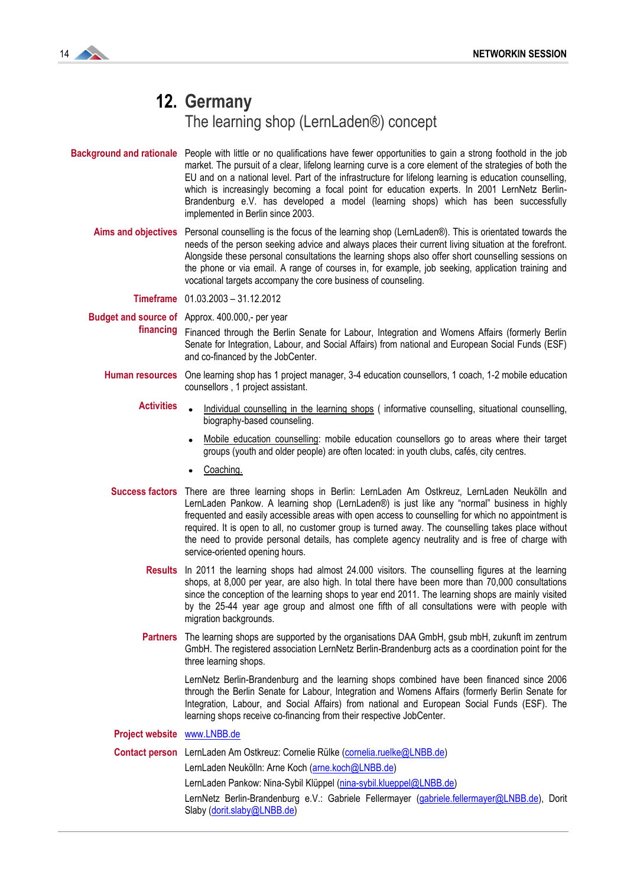

#### **12. Germany** The learning shop (LernLaden®) concept

- **Background and rationale** People with little or no qualifications have fewer opportunities to gain a strong foothold in the job market. The pursuit of a clear, lifelong learning curve is a core element of the strategies of both the EU and on a national level. Part of the infrastructure for lifelong learning is education counselling, which is increasingly becoming a focal point for education experts. In 2001 LernNetz Berlin-Brandenburg e.V. has developed a model (learning shops) which has been successfully implemented in Berlin since 2003.
	- **Aims and objectives** Personal counselling is the focus of the learning shop (LernLaden®). This is orientated towards the needs of the person seeking advice and always places their current living situation at the forefront. Alongside these personal consultations the learning shops also offer short counselling sessions on the phone or via email. A range of courses in, for example, job seeking, application training and vocational targets accompany the core business of counseling.

**Timeframe** 01.03.2003 – 31.12.2012

**Budget and source of**  Approx. 400.000,- per year

**financing**  Financed through the Berlin Senate for Labour, Integration and Womens Affairs (formerly Berlin Senate for Integration, Labour, and Social Affairs) from national and European Social Funds (ESF) and co-financed by the JobCenter.

- **Human resources** One learning shop has 1 project manager, 3-4 education counsellors, 1 coach, 1-2 mobile education counsellors , 1 project assistant.
	- Activities . Individual counselling in the learning shops ( informative counselling, situational counselling, biography-based counseling.
		- Mobile education counselling: mobile education counsellors go to areas where their target groups (youth and older people) are often located: in youth clubs, cafés, city centres.
		- Coaching.
	- **Success factors** There are three learning shops in Berlin: LernLaden Am Ostkreuz, LernLaden Neukölln and LernLaden Pankow. A learning shop (LernLaden®) is just like any "normal" business in highly frequented and easily accessible areas with open access to counselling for which no appointment is required. It is open to all, no customer group is turned away. The counselling takes place without the need to provide personal details, has complete agency neutrality and is free of charge with service-oriented opening hours.
		- **Results** In 2011 the learning shops had almost 24.000 visitors. The counselling figures at the learning shops, at 8,000 per year, are also high. In total there have been more than 70,000 consultations since the conception of the learning shops to year end 2011. The learning shops are mainly visited by the 25-44 year age group and almost one fifth of all consultations were with people with migration backgrounds.
		- **Partners**  The learning shops are supported by the organisations DAA GmbH, gsub mbH, zukunft im zentrum GmbH. The registered association LernNetz Berlin-Brandenburg acts as a coordination point for the three learning shops.

LernNetz Berlin-Brandenburg and the learning shops combined have been financed since 2006 through the Berlin Senate for Labour, Integration and Womens Affairs (formerly Berlin Senate for Integration, Labour, and Social Affairs) from national and European Social Funds (ESF). The learning shops receive co-financing from their respective JobCenter.

#### **Project website** [www.LNBB.de](http://www.lnbb.de/)

**Contact person** LernLaden Am Ostkreuz: Cornelie Rülke [\(cornelia.ruelke@LNBB.de\)](mailto:cornelia.ruelke@LNBB.de)

LernLaden Neukölln: Arne Koch [\(arne.koch@LNBB.de\)](mailto:arne.koch@LNBB.de)

LernLaden Pankow: Nina-Sybil Klüppel [\(nina-sybil.klueppel@LNBB.de\)](mailto:nina-sybil.klueppel@LNBB.de)

LernNetz Berlin-Brandenburg e.V.: Gabriele Fellermayer [\(gabriele.fellermayer@LNBB.de\)](mailto:gabriele.fellermayer@LNBB.de), Dorit Slaby [\(dorit.slaby@LNBB.de\)](mailto:dorit.slaby@LNBB.de)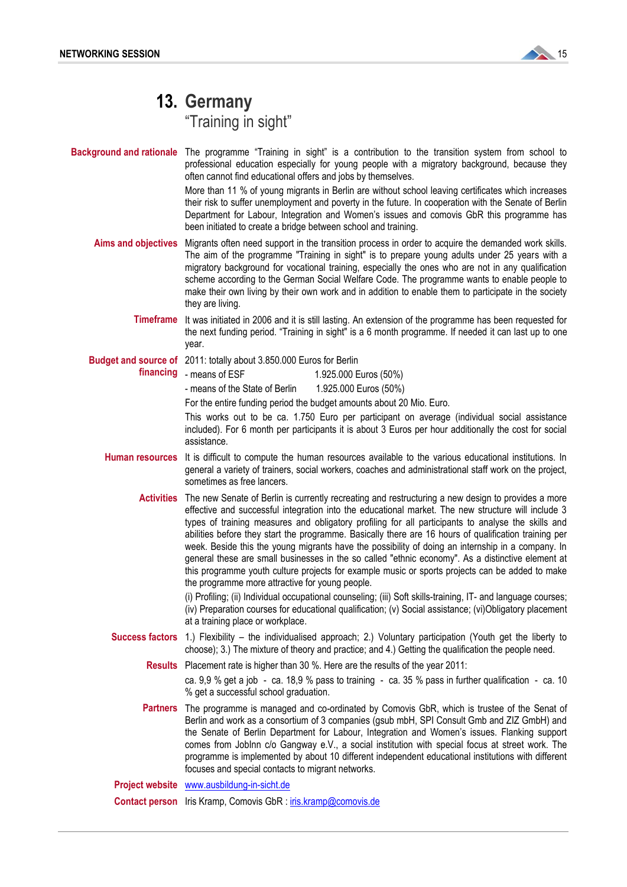

"Training in sight"

**Background and rationale** The programme "Training in sight" is a contribution to the transition system from school to professional education especially for young people with a migratory background, because they often cannot find educational offers and jobs by themselves.

More than 11 % of young migrants in Berlin are without school leaving certificates which increases their risk to suffer unemployment and poverty in the future. In cooperation with the Senate of Berlin Department for Labour, Integration and Women"s issues and comovis GbR this programme has been initiated to create a bridge between school and training.

**Aims and objectives** Migrants often need support in the transition process in order to acquire the demanded work skills. The aim of the programme "Training in sight" is to prepare young adults under 25 years with a migratory background for vocational training, especially the ones who are not in any qualification scheme according to the German Social Welfare Code. The programme wants to enable people to make their own living by their own work and in addition to enable them to participate in the society they are living.

**Timeframe** It was initiated in 2006 and it is still lasting. An extension of the programme has been requested for the next funding period. "Training in sight" is a 6 month programme. If needed it can last up to one year.

**Budget and source of**  2011: totally about 3.850.000 Euros for Berlin

**financing**  1.925.000 Euros (50%) - means of the State of Berlin 1.925.000 Euros (50%)

For the entire funding period the budget amounts about 20 Mio. Euro.

This works out to be ca. 1.750 Euro per participant on average (individual social assistance included). For 6 month per participants it is about 3 Euros per hour additionally the cost for social assistance.

- **Human resources** It is difficult to compute the human resources available to the various educational institutions. In general a variety of trainers, social workers, coaches and administrational staff work on the project, sometimes as free lancers.
	- **Activities** The new Senate of Berlin is currently recreating and restructuring a new design to provides a more effective and successful integration into the educational market. The new structure will include 3 types of training measures and obligatory profiling for all participants to analyse the skills and abilities before they start the programme. Basically there are 16 hours of qualification training per week. Beside this the young migrants have the possibility of doing an internship in a company. In general these are small businesses in the so called "ethnic economy". As a distinctive element at this programme youth culture projects for example music or sports projects can be added to make the programme more attractive for young people.

(i) Profiling; (ii) Individual occupational counseling; (iii) Soft skills-training, IT- and language courses; (iv) Preparation courses for educational qualification; (v) Social assistance; (vi)Obligatory placement at a training place or workplace.

**Success factors** 1.) Flexibility – the individualised approach; 2.) Voluntary participation (Youth get the liberty to choose); 3.) The mixture of theory and practice; and 4.) Getting the qualification the people need.

**Results** Placement rate is higher than 30 %. Here are the results of the year 2011:

ca.  $9,9$  % get a job - ca. 18,9 % pass to training - ca. 35 % pass in further qualification - ca. 10 % get a successful school graduation.

**Partners**  The programme is managed and co-ordinated by Comovis GbR, which is trustee of the Senat of Berlin and work as a consortium of 3 companies (gsub mbH, SPI Consult Gmb and ZIZ GmbH) and the Senate of Berlin Department for Labour, Integration and Women"s issues. Flanking support comes from JobInn c/o Gangway e.V., a social institution with special focus at street work. The programme is implemented by about 10 different independent educational institutions with different focuses and special contacts to migrant networks.

**Project website** [www.ausbildung-in-sicht.de](http://www.ausbildung-in-sicht.de/)

**Contact person** Iris Kramp, Comovis GbR [: iris.kramp@comovis.de](mailto:iris.kramp@comovis.de)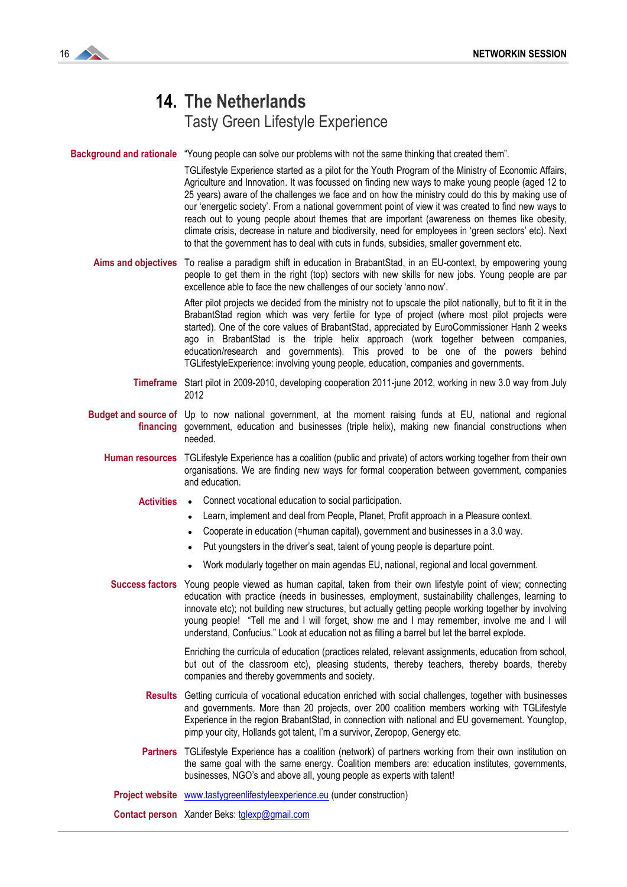

## **14. The Netherlands** Tasty Green Lifestyle Experience

**Background and rationale** "Young people can solve our problems with not the same thinking that created them".

TGLifestyle Experience started as a pilot for the Youth Program of the Ministry of Economic Affairs, Agriculture and Innovation. It was focussed on finding new ways to make young people (aged 12 to 25 years) aware of the challenges we face and on how the ministry could do this by making use of our "energetic society". From a national government point of view it was created to find new ways to reach out to young people about themes that are important (awareness on themes like obesity, climate crisis, decrease in nature and biodiversity, need for employees in "green sectors" etc). Next to that the government has to deal with cuts in funds, subsidies, smaller government etc.

**Aims and objectives** To realise a paradigm shift in education in BrabantStad, in an EU-context, by empowering young people to get them in the right (top) sectors with new skills for new jobs. Young people are par excellence able to face the new challenges of our society 'anno now'.

> After pilot projects we decided from the ministry not to upscale the pilot nationally, but to fit it in the BrabantStad region which was very fertile for type of project (where most pilot projects were started). One of the core values of BrabantStad, appreciated by EuroCommissioner Hanh 2 weeks ago in BrabantStad is the triple helix approach (work together between companies, education/research and governments). This proved to be one of the powers behind TGLifestyleExperience: involving young people, education, companies and governments.

**Timeframe** Start pilot in 2009-2010, developing cooperation 2011-june 2012, working in new 3.0 way from July 2012

**Budget and source of** Up to now national government, at the moment raising funds at EU, national and regional **financing**  government, education and businesses (triple helix), making new financial constructions when needed.

- **Human resources** TGLifestyle Experience has a coalition (public and private) of actors working together from their own organisations. We are finding new ways for formal cooperation between government, companies and education.
	- Activities Connect vocational education to social participation.
		- Learn, implement and deal from People, Planet, Profit approach in a Pleasure context.  $\bullet$
		- Cooperate in education (=human capital), government and businesses in a 3.0 way.
		- Put youngsters in the driver's seat, talent of young people is departure point.
		- Work modularly together on main agendas EU, national, regional and local government.

**Success factors** Young people viewed as human capital, taken from their own lifestyle point of view; connecting education with practice (needs in businesses, employment, sustainability challenges, learning to innovate etc); not building new structures, but actually getting people working together by involving young people! "Tell me and I will forget, show me and I may remember, involve me and I will understand, Confucius." Look at education not as filling a barrel but let the barrel explode.

> Enriching the curricula of education (practices related, relevant assignments, education from school, but out of the classroom etc), pleasing students, thereby teachers, thereby boards, thereby companies and thereby governments and society.

- **Results** Getting curricula of vocational education enriched with social challenges, together with businesses and governments. More than 20 projects, over 200 coalition members working with TGLifestyle Experience in the region BrabantStad, in connection with national and EU governement. Youngtop, pimp your city, Hollands got talent, I"m a survivor, Zeropop, Genergy etc.
- **Partners** TGLifestyle Experience has a coalition (network) of partners working from their own institution on the same goal with the same energy. Coalition members are: education institutes, governments, businesses, NGO"s and above all, young people as experts with talent!

**Project website [www.tastygreenlifestyleexperience.eu](http://www.tastygreenlifestyleexperience.eu/)** (under construction)

**Contact person** Xander Beks: [tglexp@gmail.com](mailto:tglexp@gmail.com)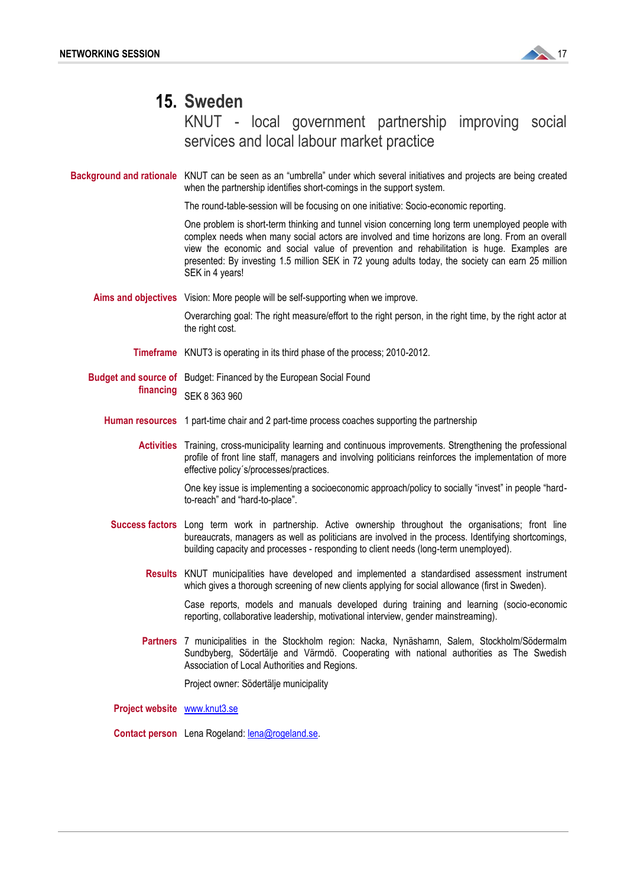

### **15. Sweden**

KNUT - local government partnership improving social services and local labour market practice

**Background and rationale** KNUT can be seen as an "umbrella" under which several initiatives and projects are being created when the partnership identifies short-comings in the support system.

The round-table-session will be focusing on one initiative: Socio-economic reporting.

One problem is short-term thinking and tunnel vision concerning long term unemployed people with complex needs when many social actors are involved and time horizons are long. From an overall view the economic and social value of prevention and rehabilitation is huge. Examples are presented: By investing 1.5 million SEK in 72 young adults today, the society can earn 25 million SEK in 4 years!

**Aims and objectives** Vision: More people will be self-supporting when we improve.

Overarching goal: The right measure/effort to the right person, in the right time, by the right actor at the right cost.

- **Timeframe** KNUT3 is operating in its third phase of the process; 2010-2012.
- **Budget and source of** Budget: Financed by the European Social Found **financing**  SEK 8 363 960
	- **Human resources** 1 part-time chair and 2 part-time process coaches supporting the partnership

**Activities** Training, cross-municipality learning and continuous improvements. Strengthening the professional profile of front line staff, managers and involving politicians reinforces the implementation of more effective policy´s/processes/practices.

> One key issue is implementing a socioeconomic approach/policy to socially "invest" in people "hardto-reach" and "hard-to-place".

- **Success factors** Long term work in partnership. Active ownership throughout the organisations; front line bureaucrats, managers as well as politicians are involved in the process. Identifying shortcomings, building capacity and processes - responding to client needs (long-term unemployed).
	- **Results** KNUT municipalities have developed and implemented a standardised assessment instrument which gives a thorough screening of new clients applying for social allowance (first in Sweden).

Case reports, models and manuals developed during training and learning (socio-economic reporting, collaborative leadership, motivational interview, gender mainstreaming).

**Partners** 7 municipalities in the Stockholm region: Nacka, Nynäshamn, Salem, Stockholm/Södermalm Sundbyberg, Södertälje and Värmdö. Cooperating with national authorities as The Swedish Association of Local Authorities and Regions.

Project owner: Södertälje municipality

**Project website** [www.knut3.se](http://www.knut3.se/)

**Contact person** Lena Rogeland[: lena@rogeland.se.](mailto:lena@rogeland.se)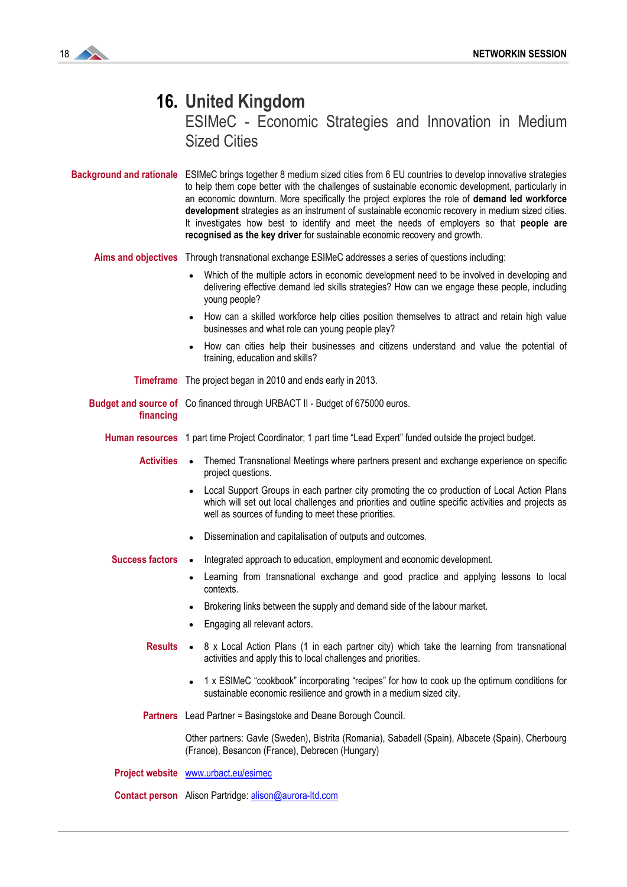

# **16. United Kingdom**

ESIMeC - Economic Strategies and Innovation in Medium Sized Cities

**Background and rationale** ESIMeC brings together 8 medium sized cities from 6 EU countries to develop innovative strategies to help them cope better with the challenges of sustainable economic development, particularly in an economic downturn. More specifically the project explores the role of **demand led workforce development** strategies as an instrument of sustainable economic recovery in medium sized cities. It investigates how best to identify and meet the needs of employers so that **people are recognised as the key driver** for sustainable economic recovery and growth.

**Aims and objectives** Through transnational exchange ESIMeC addresses a series of questions including:

- Which of the multiple actors in economic development need to be involved in developing and delivering effective demand led skills strategies? How can we engage these people, including young people?
- How can a skilled workforce help cities position themselves to attract and retain high value businesses and what role can young people play?
- How can cities help their businesses and citizens understand and value the potential of training, education and skills?
- **Timeframe** The project began in 2010 and ends early in 2013.

**Budget and source of**  Co financed through URBACT II - Budget of 675000 euros.

**financing** 

**Human resources** 1 part time Project Coordinator; 1 part time "Lead Expert" funded outside the project budget.

- **Activities** Themed Transnational Meetings where partners present and exchange experience on specific project questions.
	- Local Support Groups in each partner city promoting the co production of Local Action Plans which will set out local challenges and priorities and outline specific activities and projects as well as sources of funding to meet these priorities.
	- Dissemination and capitalisation of outputs and outcomes.
- **Success factors** Integrated approach to education, employment and economic development.
	- Learning from transnational exchange and good practice and applying lessons to local contexts.
	- Brokering links between the supply and demand side of the labour market.
	- Engaging all relevant actors.
	- **Results** 8 x Local Action Plans (1 in each partner city) which take the learning from transnational activities and apply this to local challenges and priorities.
		- 1 x ESIMeC "cookbook" incorporating "recipes" for how to cook up the optimum conditions for  $\bullet$ sustainable economic resilience and growth in a medium sized city.
	- **Partners** Lead Partner = Basingstoke and Deane Borough Council.

Other partners: Gavle (Sweden), Bistrita (Romania), Sabadell (Spain), Albacete (Spain), Cherbourg (France), Besancon (France), Debrecen (Hungary)

**Project website** [www.urbact.eu/esimec](http://www.urbact.eu/esimec)

**Contact person** Alison Partridge[: alison@aurora-ltd.com](mailto:alison@aurora-ltd.com)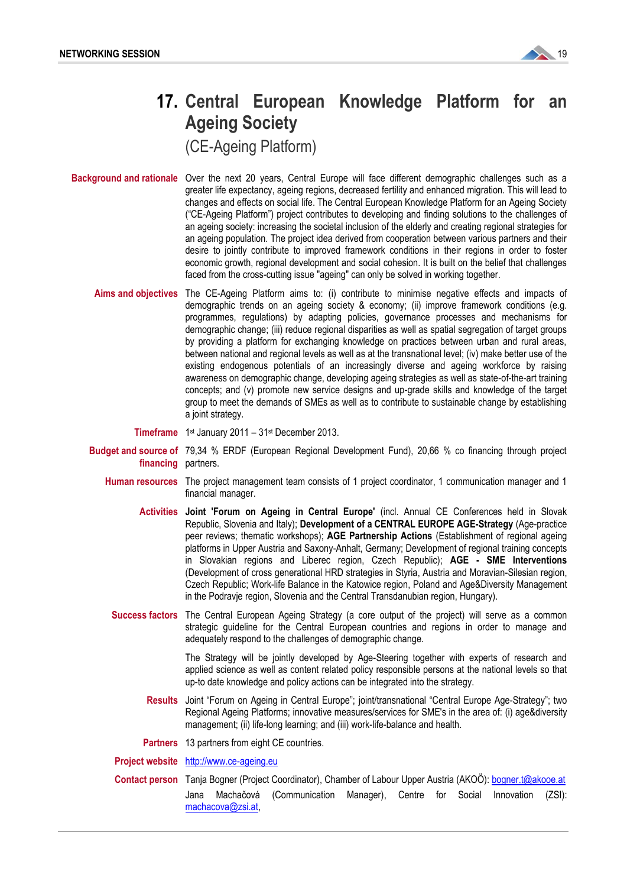

# **17. Central European Knowledge Platform for an Ageing Society**

(CE-Ageing Platform)

**Background and rationale** Over the next 20 years, Central Europe will face different demographic challenges such as a greater life expectancy, ageing regions, decreased fertility and enhanced migration. This will lead to changes and effects on social life. The Central European Knowledge Platform for an Ageing Society ("CE-Ageing Platform") project contributes to developing and finding solutions to the challenges of an ageing society: increasing the societal inclusion of the elderly and creating regional strategies for an ageing population. The project idea derived from cooperation between various partners and their desire to jointly contribute to improved framework conditions in their regions in order to foster economic growth, regional development and social cohesion. It is built on the belief that challenges faced from the cross-cutting issue "ageing" can only be solved in working together.

**Aims and objectives** The CE-Ageing Platform aims to: (i) contribute to minimise negative effects and impacts of demographic trends on an ageing society & economy; (ii) improve framework conditions (e.g. programmes, regulations) by adapting policies, governance processes and mechanisms for demographic change; (iii) reduce regional disparities as well as spatial segregation of target groups by providing a platform for exchanging knowledge on practices between urban and rural areas, between national and regional levels as well as at the transnational level; (iv) make better use of the existing endogenous potentials of an increasingly diverse and ageing workforce by raising awareness on demographic change, developing ageing strategies as well as state-of-the-art training concepts; and (v) promote new service designs and up-grade skills and knowledge of the target group to meet the demands of SMEs as well as to contribute to sustainable change by establishing a joint strategy.

**Timeframe** 1 st January 2011 – 31st December 2013.

**Budget and source of**  79,34 % ERDF (European Regional Development Fund), 20,66 % co financing through project **financing**  partners.

- **Human resources** The project management team consists of 1 project coordinator, 1 communication manager and 1 financial manager.
	- **Activities Joint 'Forum on Ageing in Central Europe'** (incl. Annual CE Conferences held in Slovak Republic, Slovenia and Italy); **Development of a CENTRAL EUROPE AGE-Strategy** (Age-practice peer reviews; thematic workshops); **AGE Partnership Actions** (Establishment of regional ageing platforms in Upper Austria and Saxony-Anhalt, Germany; Development of regional training concepts in Slovakian regions and Liberec region, Czech Republic); **AGE - SME Interventions** (Development of cross generational HRD strategies in Styria, Austria and Moravian-Silesian region, Czech Republic; Work-life Balance in the Katowice region, Poland and Age&Diversity Management in the Podravje region, Slovenia and the Central Transdanubian region, Hungary).
	- **Success factors** The Central European Ageing Strategy (a core output of the project) will serve as a common strategic guideline for the Central European countries and regions in order to manage and adequately respond to the challenges of demographic change.

The Strategy will be jointly developed by Age-Steering together with experts of research and applied science as well as content related policy responsible persons at the national levels so that up-to date knowledge and policy actions can be integrated into the strategy.

- **Results** Joint "Forum on Ageing in Central Europe"; joint/transnational "Central Europe Age-Strategy"; two Regional Ageing Platforms; innovative measures/services for SME's in the area of: (i) age&diversity management; (ii) life-long learning; and (iii) work-life-balance and health.
- **Partners** 13 partners from eight CE countries.

**Project website** [http://www.ce-ageing.eu](http://www.ce-ageing.eu/)

**Contact person** Tanja Bogner (Project Coordinator), Chamber of Labour Upper Austria (AKOÖ): [bogner.t@akooe.at](mailto:bogner.t@akooe.at) Jana Machačová (Communication Manager), Centre for Social Innovation (ZSI): [machacova@zsi.at,](mailto:machacova@zsi.at)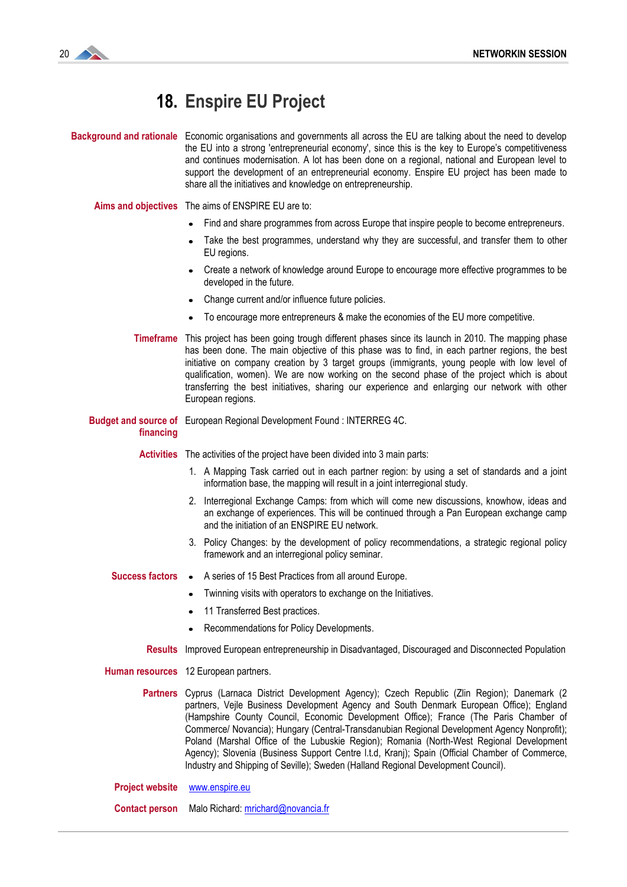## **18. Enspire EU Project**

**Background and rationale** Economic organisations and governments all across the EU are talking about the need to develop the EU into a strong 'entrepreneurial economy', since this is the key to Europe's competitiveness and continues modernisation. A lot has been done on a regional, national and European level to support the development of an entrepreneurial economy. Enspire EU project has been made to share all the initiatives and knowledge on entrepreneurship.

**Aims and objectives** The aims of ENSPIRE EU are to:

- Find and share programmes from across Europe that inspire people to become entrepreneurs.
- Take the best programmes, understand why they are successful, and transfer them to other EU regions.
- Create a network of knowledge around Europe to encourage more effective programmes to be developed in the future.
- Change current and/or influence future policies.
- To encourage more entrepreneurs & make the economies of the EU more competitive.
- **Timeframe** This project has been going trough different phases since its launch in 2010. The mapping phase has been done. The main objective of this phase was to find, in each partner regions, the best initiative on company creation by 3 target groups (immigrants, young people with low level of qualification, women). We are now working on the second phase of the project which is about transferring the best initiatives, sharing our experience and enlarging our network with other European regions.
- **Budget and source of** European Regional Development Found: INTERREG 4C. **financing**

**Activities** The activities of the project have been divided into 3 main parts:

- 1. A Mapping Task carried out in each partner region: by using a set of standards and a joint information base, the mapping will result in a joint interregional study.
- 2. Interregional Exchange Camps: from which will come new discussions, knowhow, ideas and an exchange of experiences. This will be continued through a Pan European exchange camp and the initiation of an ENSPIRE EU network.
- 3. Policy Changes: by the development of policy recommendations, a strategic regional policy framework and an interregional policy seminar.
- **Success factors •** A series of 15 Best Practices from all around Europe.
	- Twinning visits with operators to exchange on the Initiatives.
	- 11 Transferred Best practices.
	- Recommendations for Policy Developments.
	- **Results** Improved European entrepreneurship in Disadvantaged, Discouraged and Disconnected Population
- **Human resources** 12 European partners.
	- Partners Cyprus (Larnaca District Development Agency); Czech Republic (Zlin Region); Danemark (2 partners, Vejle Business Development Agency and South Denmark European Office); England (Hampshire County Council, Economic Development Office); France (The Paris Chamber of Commerce/ Novancia); Hungary (Central-Transdanubian Regional Development Agency Nonprofit); Poland (Marshal Office of the Lubuskie Region); Romania (North-West Regional Development Agency); Slovenia (Business Support Centre l.t.d, Kranj); Spain (Official Chamber of Commerce, Industry and Shipping of Seville); Sweden (Halland Regional Development Council).

**Project website** [www.enspire.eu](http://www.enspire.eu/)

**Contact person** Malo Richard: [mrichard@novancia.fr](mailto:mrichard@novancia.fr)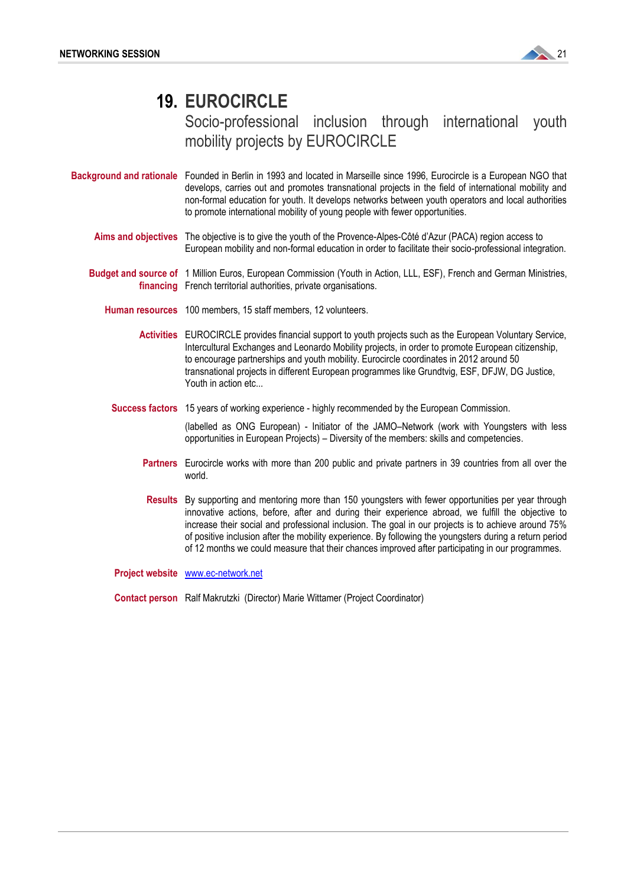

# **19. EUROCIRCLE**

#### Socio-professional inclusion through international youth mobility projects by EUROCIRCLE

- **Background and rationale** Founded in Berlin in 1993 and located in Marseille since 1996, Eurocircle is a European NGO that develops, carries out and promotes transnational projects in the field of international mobility and non-formal education for youth. It develops networks between youth operators and local authorities to promote international mobility of young people with fewer opportunities.
	- **Aims and objectives** The objective is to give the youth of the Provence-Alpes-Côté d"Azur (PACA) region access to European mobility and non-formal education in order to facilitate their socio-professional integration.

**Budget and source of**  1 Million Euros, European Commission (Youth in Action, LLL, ESF), French and German Ministries, **financing**  French territorial authorities, private organisations.

- **Human resources** 100 members, 15 staff members, 12 volunteers.
	- **Activities** EUROCIRCLE provides financial support to youth projects such as the European Voluntary Service, Intercultural Exchanges and Leonardo Mobility projects, in order to promote European citizenship, to encourage partnerships and youth mobility. Eurocircle coordinates in 2012 around 50 transnational projects in different European programmes like Grundtvig, ESF, DFJW, DG Justice, Youth in action etc...
	- **Success factors** 15 years of working experience highly recommended by the European Commission.

(labelled as ONG European) - Initiator of the JAMO–Network (work with Youngsters with less opportunities in European Projects) – Diversity of the members: skills and competencies.

- **Partners** Eurocircle works with more than 200 public and private partners in 39 countries from all over the world.
- **Results** By supporting and mentoring more than 150 youngsters with fewer opportunities per year through innovative actions, before, after and during their experience abroad, we fulfill the objective to increase their social and professional inclusion. The goal in our projects is to achieve around 75% of positive inclusion after the mobility experience. By following the youngsters during a return period of 12 months we could measure that their chances improved after participating in our programmes.

**Project website** [www.ec-network.net](http://www.ec-network.net/)

**Contact person** Ralf Makrutzki (Director) Marie Wittamer (Project Coordinator)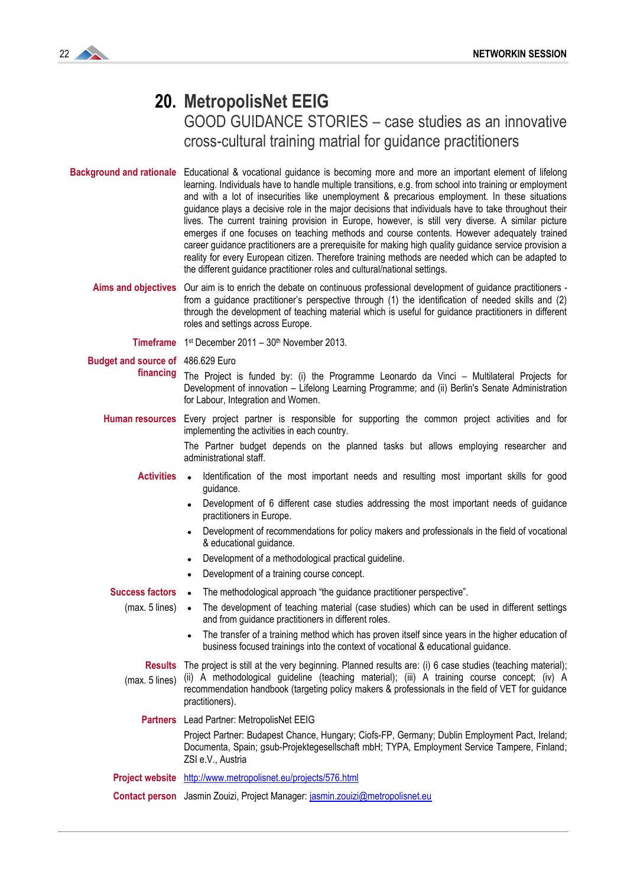

#### **20. MetropolisNet EEIG**

GOOD GUIDANCE STORIES – case studies as an innovative cross-cultural training matrial for guidance practitioners

**Background and rationale** Educational & vocational guidance is becoming more and more an important element of lifelong learning. Individuals have to handle multiple transitions, e.g. from school into training or employment and with a lot of insecurities like unemployment & precarious employment. In these situations guidance plays a decisive role in the major decisions that individuals have to take throughout their lives. The current training provision in Europe, however, is still very diverse. A similar picture emerges if one focuses on teaching methods and course contents. However adequately trained career guidance practitioners are a prerequisite for making high quality guidance service provision a reality for every European citizen. Therefore training methods are needed which can be adapted to the different guidance practitioner roles and cultural/national settings.

**Aims and objectives** Our aim is to enrich the debate on continuous professional development of guidance practitioners from a guidance practitioner"s perspective through (1) the identification of needed skills and (2) through the development of teaching material which is useful for guidance practitioners in different roles and settings across Europe.

**Timeframe** 1<sup>st</sup> December 2011 – 30<sup>th</sup> November 2013.

**Budget and source of**  486.629 Euro

**financing**  The Project is funded by: (i) the Programme Leonardo da Vinci – Multilateral Projects for Development of innovation – Lifelong Learning Programme; and (ii) Berlin's Senate Administration for Labour, Integration and Women.

**Human resources** Every project partner is responsible for supporting the common project activities and for implementing the activities in each country.

> The Partner budget depends on the planned tasks but allows employing researcher and administrational staff.

- Activities Identification of the most important needs and resulting most important skills for good guidance.
	- Development of 6 different case studies addressing the most important needs of guidance practitioners in Europe.
	- Development of recommendations for policy makers and professionals in the field of vocational & educational guidance.
	- Development of a methodological practical guideline.
	- Development of a training course concept.

#### **Success factors**

(max. 5 lines)

- The methodological approach "the guidance practitioner perspective".
- The development of teaching material (case studies) which can be used in different settings and from guidance practitioners in different roles.
	- The transfer of a training method which has proven itself since years in the higher education of business focused trainings into the context of vocational & educational guidance.

**Results**  The project is still at the very beginning. Planned results are: (i) 6 case studies (teaching material); (max. 5 lines) (ii) A methodological guideline (teaching material); (iii) A training course concept; (iv) A recommendation handbook (targeting policy makers & professionals in the field of VET for guidance practitioners).

**Partners** Lead Partner: MetropolisNet EEIG

Project Partner: Budapest Chance, Hungary; Ciofs-FP, Germany; Dublin Employment Pact, Ireland; Documenta, Spain; gsub-Projektegesellschaft mbH; TYPA, Employment Service Tampere, Finland; ZSI e.V., Austria

**Project website** <http://www.metropolisnet.eu/projects/576.html>

**Contact person** Jasmin Zouizi, Project Manager: *jasmin.zouizi@metropolisnet.eu*